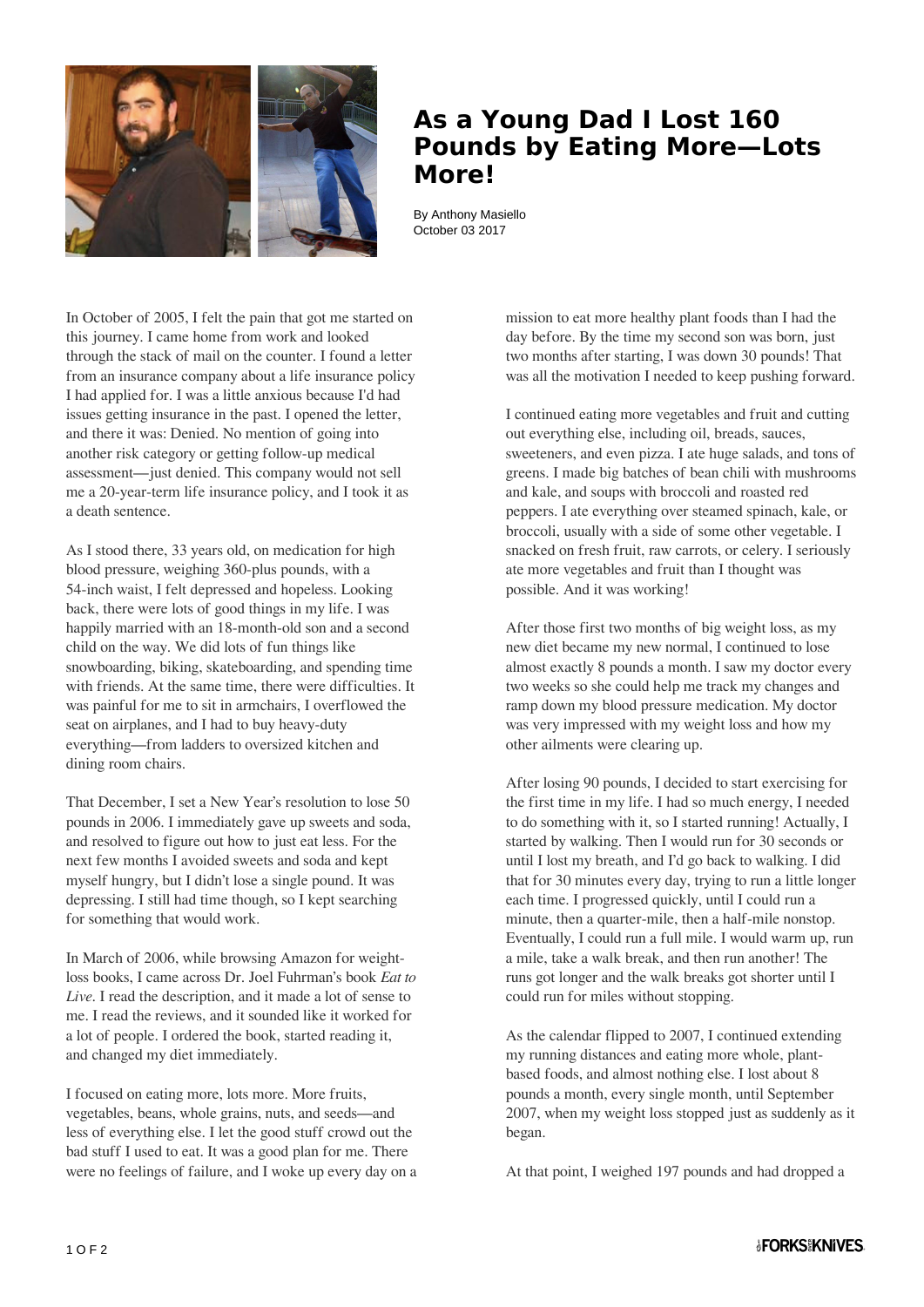

## **As a Young Dad I Lost 160 Pounds by Eating More—Lots More!**

By Anthony Masiello October 03 2017

In October of 2005, I felt the pain that got me started on this journey. I came home from work and looked through the stack of mail on the counter. I found a letter from an insurance company about a life insurance policy I had applied for. I was a little anxious because I'd had issues getting insurance in the past. I opened the letter, and there it was: Denied. No mention of going into another risk category or getting follow-up medical assessment—just denied. This company would not sell me a 20-year-term life insurance policy, and I took it as a death sentence.

As I stood there, 33 years old, on medication for high blood pressure, weighing 360-plus pounds, with a 54-inch waist, I felt depressed and hopeless. Looking back, there were lots of good things in my life. I was happily married with an 18-month-old son and a second child on the way. We did lots of fun things like snowboarding, biking, skateboarding, and spending time with friends. At the same time, there were difficulties. It was painful for me to sit in armchairs, I overflowed the seat on airplanes, and I had to buy heavy-duty everything—from ladders to oversized kitchen and dining room chairs.

That December, I set a New Year's resolution to lose 50 pounds in 2006. I immediately gave up sweets and soda, and resolved to figure out how to just eat less. For the next few months I avoided sweets and soda and kept myself hungry, but I didn't lose a single pound. It was depressing. I still had time though, so I kept searching for something that would work.

In March of 2006, while browsing Amazon for weightloss books, I came across Dr. Joel Fuhrman's book *Eat to Live*. I read the description, and it made a lot of sense to me. I read the reviews, and it sounded like it worked for a lot of people. I ordered the book, started reading it, and changed my diet immediately.

I focused on eating more, lots more. More fruits, vegetables, beans, whole grains, nuts, and seeds—and less of everything else. I let the good stuff crowd out the bad stuff I used to eat. It was a good plan for me. There were no feelings of failure, and I woke up every day on a mission to eat more healthy plant foods than I had the day before. By the time my second son was born, just two months after starting, I was down 30 pounds! That was all the motivation I needed to keep pushing forward.

I continued eating more vegetables and fruit and cutting out everything else, including oil, breads, sauces, sweeteners, and even pizza. I ate huge salads, and tons of greens. I made big batches of bean chili with mushrooms and kale, and soups with broccoli and roasted red peppers. I ate everything over steamed spinach, kale, or broccoli, usually with a side of some other vegetable. I snacked on fresh fruit, raw carrots, or celery. I seriously ate more vegetables and fruit than I thought was possible. And it was working!

After those first two months of big weight loss, as my new diet became my new normal, I continued to lose almost exactly 8 pounds a month. I saw my doctor every two weeks so she could help me track my changes and ramp down my blood pressure medication. My doctor was very impressed with my weight loss and how my other ailments were clearing up.

After losing 90 pounds, I decided to start exercising for the first time in my life. I had so much energy, I needed to do something with it, so I started running! Actually, I started by walking. Then I would run for 30 seconds or until I lost my breath, and I'd go back to walking. I did that for 30 minutes every day, trying to run a little longer each time. I progressed quickly, until I could run a minute, then a quarter-mile, then a half-mile nonstop. Eventually, I could run a full mile. I would warm up, run a mile, take a walk break, and then run another! The runs got longer and the walk breaks got shorter until I could run for miles without stopping.

As the calendar flipped to 2007, I continued extending my running distances and eating more whole, plantbased foods, and almost nothing else. I lost about 8 pounds a month, every single month, until September 2007, when my weight loss stopped just as suddenly as it began.

At that point, I weighed 197 pounds and had dropped a